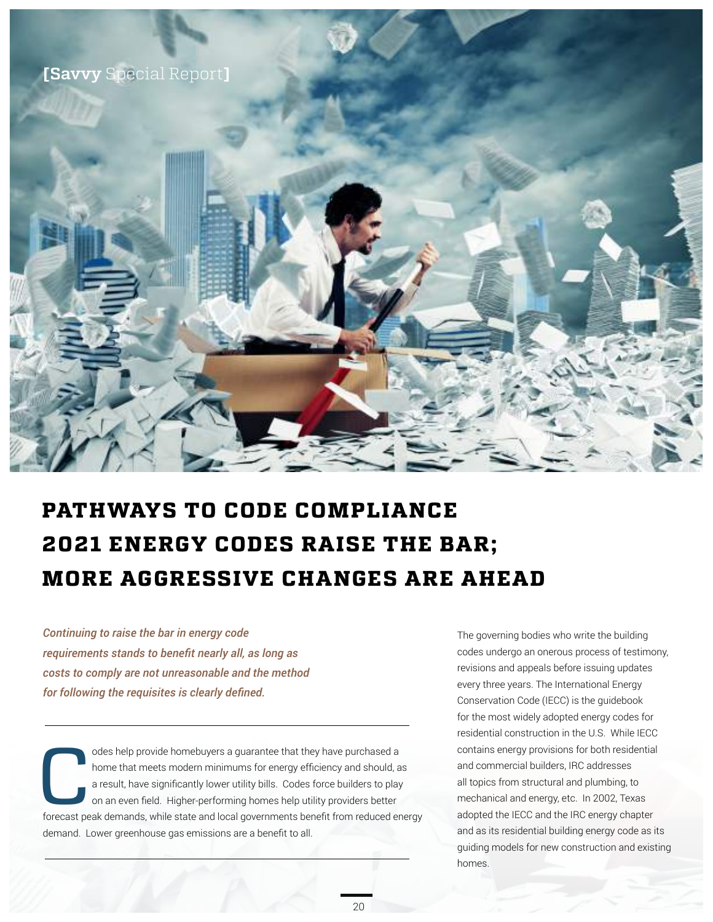

## **PATHWAYS TO CODE COMPLIANCE 2021 ENERGY CODES RAISE THE BAR; MORE AGGRESSIVE CHANGES ARE AHEAD**

*Continuing to raise the bar in energy code*  requirements stands to benefit nearly all, as long as *costs to comply are not unreasonable and the method <i>I* for following the requisites is clearly defined.

odes help provide homebuyers a guarantee that they have purchased a<br>home that meets modern minimums for energy efficiency and should, a<br>a result, have significantly lower utility bills. Codes force builders to play<br>on an e home that meets modern minimums for energy efficiency and should, as a result, have significantly lower utility bills. Codes force builders to play on an even field. Higher-performing homes help utility providers better forecast peak demands, while state and local governments benefit from reduced energy demand. Lower greenhouse gas emissions are a benefit to all.

The governing bodies who write the building codes undergo an onerous process of testimony, revisions and appeals before issuing updates every three years. The International Energy Conservation Code (IECC) is the guidebook for the most widely adopted energy codes for residential construction in the U.S. While IECC contains energy provisions for both residential and commercial builders, IRC addresses all topics from structural and plumbing, to mechanical and energy, etc. In 2002, Texas adopted the IECC and the IRC energy chapter and as its residential building energy code as its guiding models for new construction and existing homes.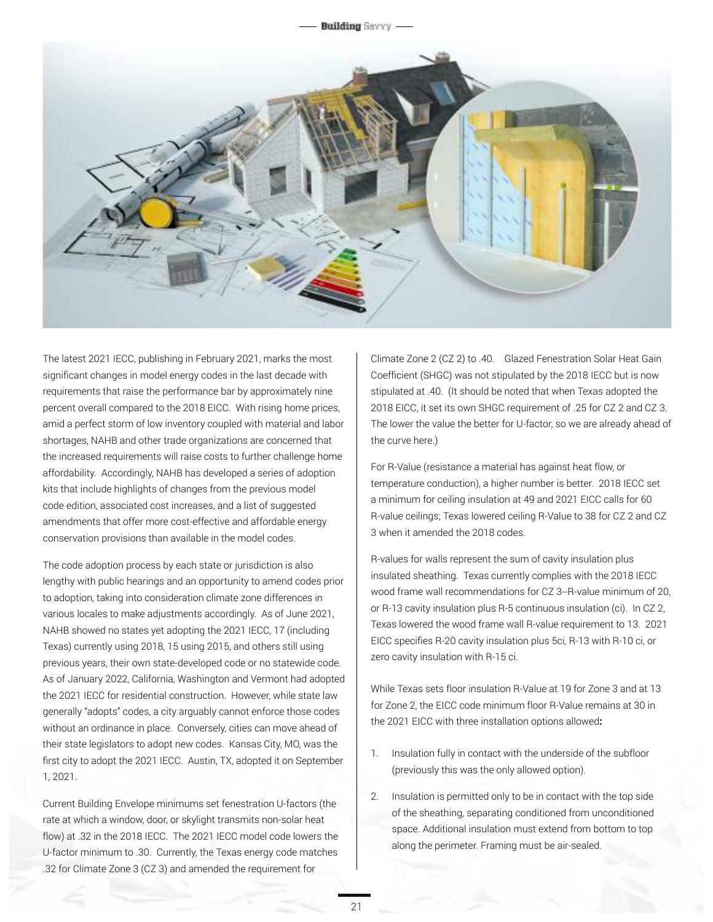**Building Serry** 



The latest 2021 IECC, publishing in February 2021, marks the most significant changes in model energy codes in the last decade with requirements that raise the performance bar by approximately nine percent overall compared to the 2018 EICC. With rising home prices, amid a perfect storm of low inventory coupled with material and labor shortages, NAHB and other trade organizations are concerned that the increased requirements will raise costs to further challenge home affordability. Accordingly, NAHB has developed a series of adoption kits that include highlights of changes from the previous model code edition, associated cost increases, and a list of suggested amendments that offer more cost-effective and affordable energy conservation provisions than available in the model codes.

The code adoption process by each state or jurisdiction is also lengthy with public hearings and an opportunity to amend codes prior to adoption, taking into consideration climate zone differences in various locales to make adjustments accordingly. As of June 2021, NAHB showed no states yet adopting the 2021 IECC, 17 (including Texas) currently using 2018, 15 using 2015, and others still using previous years, their own state-developed code or no statewide code. As of January 2022, California, Washington and Vermont had adopted the 2021 IECC for residential construction. However, while state law generally "adopts" codes, a city arguably cannot enforce those codes without an ordinance in place. Conversely, cities can move ahead of their state legislators to adopt new codes. Kansas City, MO, was the first city to adopt the 2021 IECC. Austin, TX, adopted it on September 1, 2021.

Current Building Envelope minimums set fenestration U-factors (the rate at which a window, door, or skylight transmits non-solar heat flow) at .32 in the 2018 IECC. The 2021 IECC model code lowers the U-factor minimum to .30. Currently, the Texas energy code matches .32 for Climate Zone 3 (CZ 3) and amended the requirement for

Climate Zone 2 (CZ 2) to .40. Glazed Fenestration Solar Heat Gain Coefficient (SHGC) was not stipulated by the 2018 IECC but is now stipulated at .40. (It should be noted that when Texas adopted the 2018 EICC, it set its own SHGC requirement of .25 for CZ 2 and CZ 3. The lower the value the better for U-factor, so we are already ahead of the curve here.)

For R-Value (resistance a material has against heat flow, or temperature conduction), a higher number is better. 2018 IECC set a minimum for ceiling insulation at 49 and 2021 EICC calls for 60 R-value ceilings; Texas lowered ceiling R-Value to 38 for CZ 2 and CZ 3 when it amended the 2018 codes.

R-values for walls represent the sum of cavity insulation plus insulated sheathing. Texas currently complies with the 2018 IECC wood frame wall recommendations for CZ 3--R-value minimum of 20, or R-13 cavity insulation plus R-5 continuous insulation (ci). In CZ 2, Texas lowered the wood frame wall R-value requirement to 13. 2021 EICC specifies R-20 cavity insulation plus 5ci, R-13 with R-10 ci, or zero cavity insulation with R-15 ci.

While Texas sets floor insulation R-Value at 19 for Zone 3 and at 13 for Zone 2, the EICC code minimum floor R-Value remains at 30 in the 2021 EICC with three installation options allowed:

- 1. Insulation fully in contact with the underside of the subfloor (previously this was the only allowed option).
- 2. Insulation is permitted only to be in contact with the top side of the sheathing, separating conditioned from unconditioned space. Additional insulation must extend from bottom to top along the perimeter. Framing must be air-sealed.